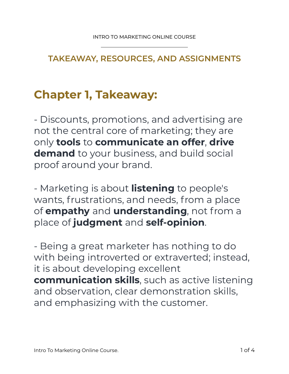**TAKEAWAY, RESOURCES, AND ASSIGNMENTS** 

## **Chapter 1, Takeaway:**

- Discounts, promotions, and advertising are not the central core of marketing; they are only **tools** to **communicate an offer**, **drive demand** to your business, and build social proof around your brand.

- Marketing is about **listening** to people's wants, frustrations, and needs, from a place of **empathy** and **understanding**, not from a place of **judgment** and **self-opinion**.

- Being a great marketer has nothing to do with being introverted or extraverted; instead, it is about developing excellent **communication skills**, such as active listening and observation, clear demonstration skills, and emphasizing with the customer.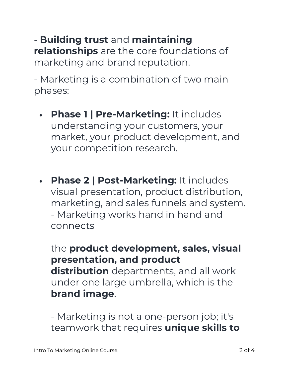## - **Building trust** and **maintaining relationships** are the core foundations of marketing and brand reputation.

- Marketing is a combination of two main phases:

- **• Phase 1 | Pre-Marketing:** It includes understanding your customers, your market, your product development, and your competition research.
- **• Phase 2 | Post-Marketing:** It includes visual presentation, product distribution, marketing, and sales funnels and system. - Marketing works hand in hand and connects

the **product development, sales, visual presentation, and product distribution** departments, and all work under one large umbrella, which is the **brand image**.

- Marketing is not a one-person job; it's teamwork that requires **unique skills to**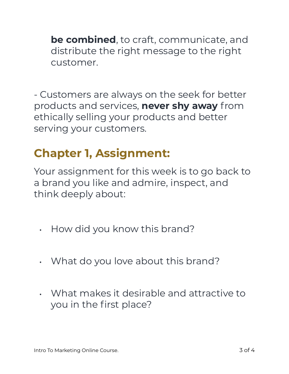**be combined**, to craft, communicate, and distribute the right message to the right customer.

- Customers are always on the seek for better products and services, **never shy away** from ethically selling your products and better serving your customers.

## **Chapter 1, Assignment:**

Your assignment for this week is to go back to a brand you like and admire, inspect, and think deeply about:

- How did you know this brand?
- What do you love about this brand?
- What makes it desirable and attractive to you in the first place?